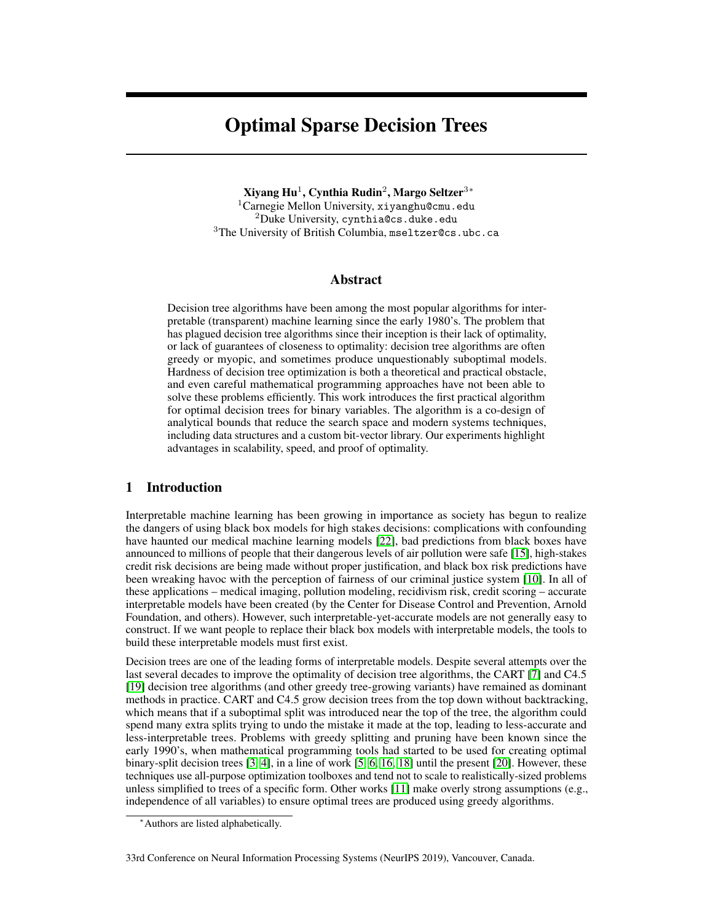# Optimal Sparse Decision Trees

Xiyang Hu $^1$ , Cynthia Rudin $^2$ , Margo Seltzer $^3\text{*}$  $1$ Carnegie Mellon University, xiyanghu@cmu.edu  $2$ Duke University, cynthia@cs.duke.edu  ${}^{3}\mathrm{The}$  University of British Columbia, <code>mseltzer@cs.ubc.ca</code>

## Abstract

Decision tree algorithms have been among the most popular algorithms for interpretable (transparent) machine learning since the early 1980's. The problem that has plagued decision tree algorithms since their inception is their lack of optimality, or lack of guarantees of closeness to optimality: decision tree algorithms are often greedy or myopic, and sometimes produce unquestionably suboptimal models. Hardness of decision tree optimization is both a theoretical and practical obstacle, and even careful mathematical programming approaches have not been able to solve these problems efficiently. This work introduces the first practical algorithm for optimal decision trees for binary variables. The algorithm is a co-design of analytical bounds that reduce the search space and modern systems techniques, including data structures and a custom bit-vector library. Our experiments highlight advantages in scalability, speed, and proof of optimality.

# 1 Introduction

Interpretable machine learning has been growing in importance as society has begun to realize the dangers of using black box models for high stakes decisions: complications with confounding have haunted our medical machine learning models [22], bad predictions from black boxes have announced to millions of people that their dangerous levels of air pollution were safe [15], high-stakes credit risk decisions are being made without proper justification, and black box risk predictions have been wreaking havoc with the perception of fairness of our criminal justice system [10]. In all of these applications – medical imaging, pollution modeling, recidivism risk, credit scoring – accurate interpretable models have been created (by the Center for Disease Control and Prevention, Arnold Foundation, and others). However, such interpretable-yet-accurate models are not generally easy to construct. If we want people to replace their black box models with interpretable models, the tools to build these interpretable models must first exist.

Decision trees are one of the leading forms of interpretable models. Despite several attempts over the last several decades to improve the optimality of decision tree algorithms, the CART [7] and C4.5 [19] decision tree algorithms (and other greedy tree-growing variants) have remained as dominant methods in practice. CART and C4.5 grow decision trees from the top down without backtracking, which means that if a suboptimal split was introduced near the top of the tree, the algorithm could spend many extra splits trying to undo the mistake it made at the top, leading to less-accurate and less-interpretable trees. Problems with greedy splitting and pruning have been known since the early 1990's, when mathematical programming tools had started to be used for creating optimal binary-split decision trees [3, 4], in a line of work [5, 6, 16, 18] until the present [20]. However, these techniques use all-purpose optimization toolboxes and tend not to scale to realistically-sized problems unless simplified to trees of a specific form. Other works [11] make overly strong assumptions (e.g., independence of all variables) to ensure optimal trees are produced using greedy algorithms.

<sup>∗</sup>Authors are listed alphabetically.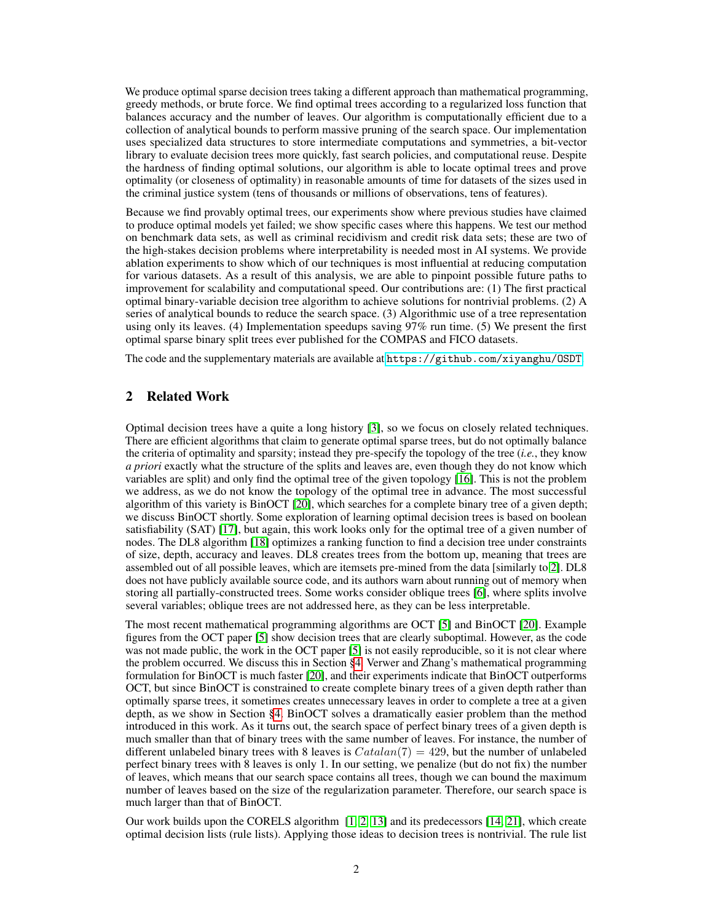We produce optimal sparse decision trees taking a different approach than mathematical programming, greedy methods, or brute force. We find optimal trees according to a regularized loss function that balances accuracy and the number of leaves. Our algorithm is computationally efficient due to a collection of analytical bounds to perform massive pruning of the search space. Our implementation uses specialized data structures to store intermediate computations and symmetries, a bit-vector library to evaluate decision trees more quickly, fast search policies, and computational reuse. Despite the hardness of finding optimal solutions, our algorithm is able to locate optimal trees and prove optimality (or closeness of optimality) in reasonable amounts of time for datasets of the sizes used in the criminal justice system (tens of thousands or millions of observations, tens of features).

Because we find provably optimal trees, our experiments show where previous studies have claimed to produce optimal models yet failed; we show specific cases where this happens. We test our method on benchmark data sets, as well as criminal recidivism and credit risk data sets; these are two of the high-stakes decision problems where interpretability is needed most in AI systems. We provide ablation experiments to show which of our techniques is most influential at reducing computation for various datasets. As a result of this analysis, we are able to pinpoint possible future paths to improvement for scalability and computational speed. Our contributions are: (1) The first practical optimal binary-variable decision tree algorithm to achieve solutions for nontrivial problems. (2) A series of analytical bounds to reduce the search space. (3) Algorithmic use of a tree representation using only its leaves. (4) Implementation speedups saving 97% run time. (5) We present the first optimal sparse binary split trees ever published for the COMPAS and FICO datasets.

The code and the supplementary materials are available at <https://github.com/xiyanghu/OSDT>.

# 2 Related Work

Optimal decision trees have a quite a long history [3], so we focus on closely related techniques. There are efficient algorithms that claim to generate optimal sparse trees, but do not optimally balance the criteria of optimality and sparsity; instead they pre-specify the topology of the tree (*i.e.*, they know *a priori* exactly what the structure of the splits and leaves are, even though they do not know which variables are split) and only find the optimal tree of the given topology [16]. This is not the problem we address, as we do not know the topology of the optimal tree in advance. The most successful algorithm of this variety is BinOCT [20], which searches for a complete binary tree of a given depth; we discuss BinOCT shortly. Some exploration of learning optimal decision trees is based on boolean satisfiability (SAT) [17], but again, this work looks only for the optimal tree of a given number of nodes. The DL8 algorithm [18] optimizes a ranking function to find a decision tree under constraints of size, depth, accuracy and leaves. DL8 creates trees from the bottom up, meaning that trees are assembled out of all possible leaves, which are itemsets pre-mined from the data [similarly to 2]. DL8 does not have publicly available source code, and its authors warn about running out of memory when storing all partially-constructed trees. Some works consider oblique trees [6], where splits involve several variables; oblique trees are not addressed here, as they can be less interpretable.

The most recent mathematical programming algorithms are OCT [5] and BinOCT [20]. Example figures from the OCT paper [5] show decision trees that are clearly suboptimal. However, as the code was not made public, the work in the OCT paper [5] is not easily reproducible, so it is not clear where the problem occurred. We discuss this in Section §4. Verwer and Zhang's mathematical programming formulation for BinOCT is much faster [20], and their experiments indicate that BinOCT outperforms OCT, but since BinOCT is constrained to create complete binary trees of a given depth rather than optimally sparse trees, it sometimes creates unnecessary leaves in order to complete a tree at a given depth, as we show in Section §4. BinOCT solves a dramatically easier problem than the method introduced in this work. As it turns out, the search space of perfect binary trees of a given depth is much smaller than that of binary trees with the same number of leaves. For instance, the number of different unlabeled binary trees with 8 leaves is  $Catalan(7) = 429$ , but the number of unlabeled perfect binary trees with 8 leaves is only 1. In our setting, we penalize (but do not fix) the number of leaves, which means that our search space contains all trees, though we can bound the maximum number of leaves based on the size of the regularization parameter. Therefore, our search space is much larger than that of BinOCT.

Our work builds upon the CORELS algorithm [1, 2, 13] and its predecessors [14, 21], which create optimal decision lists (rule lists). Applying those ideas to decision trees is nontrivial. The rule list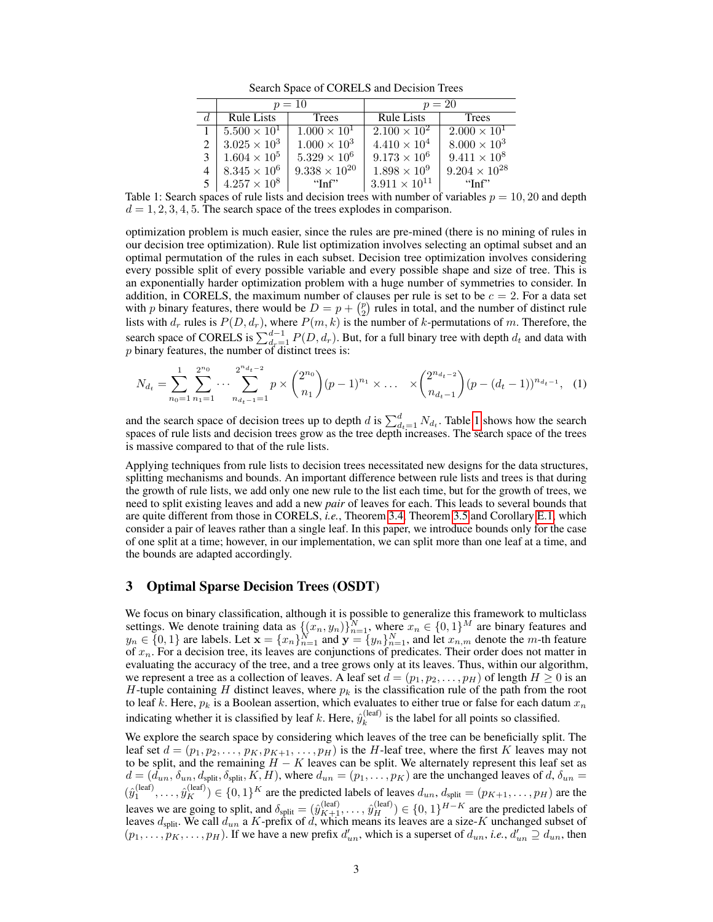Search Space of CORELS and Decision Trees

| $p=10$                       |                        | $p=20$                 |                        |
|------------------------------|------------------------|------------------------|------------------------|
| <b>Rule Lists</b>            | <b>Trees</b>           | <b>Rule Lists</b>      | Trees                  |
| $1 \mid 5.500 \times 10^{1}$ | $1.000 \times 10^{1}$  | $2.100 \times 10^{2}$  | $2.000 \times 10^{1}$  |
| $3.025 \times 10^3$          | $1.000 \times 10^3$    | $4.410 \times 10^{4}$  | $8.000 \times 10^{3}$  |
| $3 \mid 1.604 \times 10^5$   | $5.329 \times 10^{6}$  | $9.173 \times 10^6$    | $9.411 \times 10^{8}$  |
| $8.345 \times 10^6$          | $9.338 \times 10^{20}$ | $1.898 \times 10^{9}$  | $9.204 \times 10^{28}$ |
| $5 \mid 4.257 \times 10^8$   | $\lq$ -'Inf''          | $3.911 \times 10^{11}$ | $\lq$ Tnf"             |

Table 1: Search spaces of rule lists and decision trees with number of variables  $p = 10, 20$  and depth  $d = 1, 2, 3, 4, 5$ . The search space of the trees explodes in comparison.

optimization problem is much easier, since the rules are pre-mined (there is no mining of rules in our decision tree optimization). Rule list optimization involves selecting an optimal subset and an optimal permutation of the rules in each subset. Decision tree optimization involves considering every possible split of every possible variable and every possible shape and size of tree. This is an exponentially harder optimization problem with a huge number of symmetries to consider. In addition, in CORELS, the maximum number of clauses per rule is set to be  $c = 2$ . For a data set with p binary features, there would be  $D = p + {p \choose 2}$  rules in total, and the number of distinct rule lists with  $d_r$  rules is  $P(D, d_r)$ , where  $P(m, k)$  is the number of k-permutations of m. Therefore, the search space of CORELS is  $\sum_{d_r=1}^{d-1} P(D, d_r)$ . But, for a full binary tree with depth  $d_t$  and data with  $p$  binary features, the number of distinct trees is:

$$
N_{d_t} = \sum_{n_0=1}^1 \sum_{n_1=1}^{2^{n_0}} \cdots \sum_{n_{d_t-1}=1}^{2^{n_{d_t-2}}} p \times {2^{n_0} \choose n_1} (p-1)^{n_1} \times \cdots \times {2^{n_{d_t-2}} \choose n_{d_t-1}} (p-(d_t-1))^{n_{d_t-1}}, \tag{1}
$$

and the search space of decision trees up to depth d is  $\sum_{d_t=1}^{d} N_{d_t}$ . Table 1 shows how the search spaces of rule lists and decision trees grow as the tree depth increases. The search space of the trees is massive compared to that of the rule lists.

Applying techniques from rule lists to decision trees necessitated new designs for the data structures, splitting mechanisms and bounds. An important difference between rule lists and trees is that during the growth of rule lists, we add only one new rule to the list each time, but for the growth of trees, we need to split existing leaves and add a new *pair* of leaves for each. This leads to several bounds that are quite different from those in CORELS, *i.e.*, Theorem 3.4, Theorem 3.5 and Corollary E.1, which consider a pair of leaves rather than a single leaf. In this paper, we introduce bounds only for the case of one split at a time; however, in our implementation, we can split more than one leaf at a time, and the bounds are adapted accordingly.

## 3 Optimal Sparse Decision Trees (OSDT)

We focus on binary classification, although it is possible to generalize this framework to multiclass settings. We denote training data as  $\{(x_n, y_n)\}_{n=1}^N$ , where  $x_n \in \{0, 1\}^M$  are binary features and  $y_n \in \{0,1\}$  are labels. Let  $\mathbf{x} = \{x_n\}_{n=1}^N$  and  $\mathbf{y} = \{y_n\}_{n=1}^N$ , and let  $x_{n,m}$  denote the m-th feature of  $x_n$ . For a decision tree, its leaves are conjunctions of predicates. Their order does not matter in evaluating the accuracy of the tree, and a tree grows only at its leaves. Thus, within our algorithm, we represent a tree as a collection of leaves. A leaf set  $d = (p_1, p_2, \ldots, p_H)$  of length  $H \ge 0$  is an H-tuple containing H distinct leaves, where  $p_k$  is the classification rule of the path from the root to leaf k. Here,  $p_k$  is a Boolean assertion, which evaluates to either true or false for each datum  $x_n$ indicating whether it is classified by leaf k. Here,  $\hat{y}_k^{(\text{leaf})}$  $\kappa_k^{\text{(lead)}}$  is the label for all points so classified.

We explore the search space by considering which leaves of the tree can be beneficially split. The leaf set  $d = (p_1, p_2, \dots, p_K, p_{K+1}, \dots, p_H)$  is the H-leaf tree, where the first K leaves may not to be split, and the remaining  $H - K$  leaves can be split. We alternately represent this leaf set as  $d = (d_{un}, \delta_{un}, d_{split}, \delta_{split}, K, H)$ , where  $d_{un} = (p_1, \ldots, p_K)$  are the unchanged leaves of  $d, \delta_{un} =$  $(\hat{y}_1^{(leaf)},\ldots,\hat{y}_K^{(leaf)}) \in \{0,1\}^K$  are the predicted labels of leaves  $d_{un}, d_{split} = (p_{K+1},\ldots,p_H)$  are the leaves we are going to split, and  $\delta_{split} = (\hat{y}_{K+1}^{(leaf)}, \dots, \hat{y}_H^{(leaf)}) \in \{0, 1\}^{H-K}$  are the predicted labels of leaves  $d_{split}$ . We call  $d_{un}$  a K-prefix of d, which means its leaves are a size-K unchanged subset of  $(p_1, \ldots, p_K, \ldots, p_H)$ . If we have a new prefix  $d'_{un}$ , which is a superset of  $d_{un}$ , *i.e.*,  $d'_{un} \supseteq d_{un}$ , then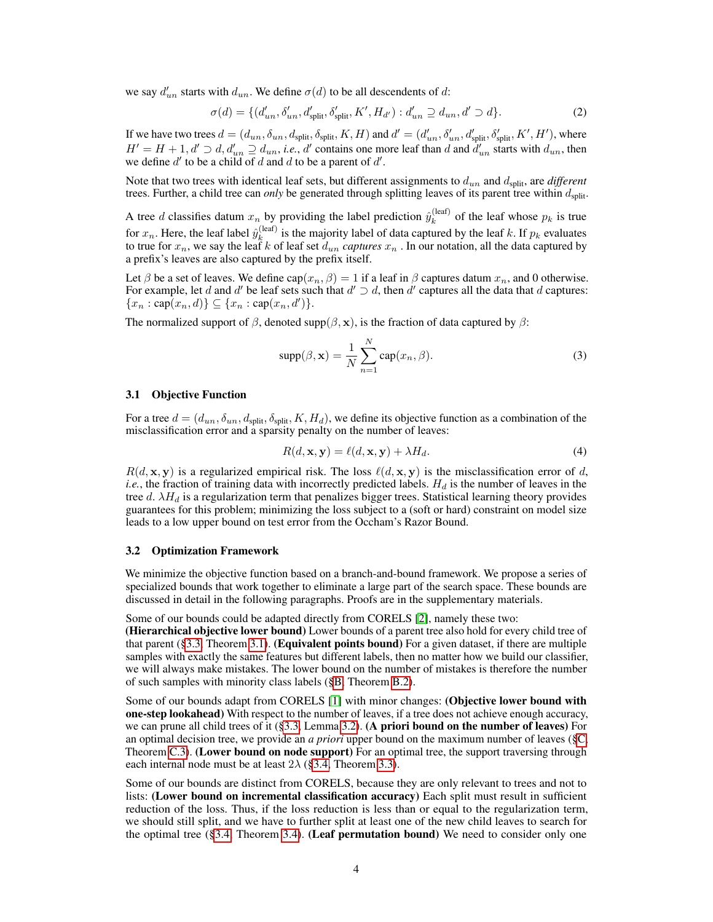we say  $d'_{un}$  starts with  $d_{un}$ . We define  $\sigma(d)$  to be all descendents of d:

$$
\sigma(d) = \{ (d'_{un}, \delta'_{un}, d'_{split}, \delta'_{split}, K', H_{d'}) : d'_{un} \supseteq d_{un}, d' \supset d \}.
$$
 (2)

If we have two trees  $d = (d_{un}, \delta_{un}, d_{split}, \delta_{split}, K, H)$  and  $d' = (d'_{un}, \delta'_{un}, d'_{split}, \delta'_{split}, K', H')$ , where  $H' = H + 1, d' \supset d, d'_{un} \supseteq d_{un}, i.e., d'$  contains one more leaf than d and  $d'_{un}$  starts with  $d_{un}$ , then we define  $d'$  to be a child of d and d to be a parent of  $d'$ .

Note that two trees with identical leaf sets, but different assignments to  $d_{un}$  and  $d_{split}$ , are *different* trees. Further, a child tree can *only* be generated through splitting leaves of its parent tree within  $d_{split}$ .

A tree *d* classifies datum  $x_n$  by providing the label prediction  $\hat{y}_k^{(\text{leaf})}$  $k_k^{\text{(lead)}}$  of the leaf whose  $p_k$  is true for  $x_n$ . Here, the leaf label  $\hat{y}_k^{(\text{leaf})}$ <sup>(tear)</sup> is the majority label of data captured by the leaf k. If  $p_k$  evaluates to true for  $x_n$ , we say the leaf k of leaf set  $d_{un}$  *captures*  $x_n$  . In our notation, all the data captured by a prefix's leaves are also captured by the prefix itself.

Let  $\beta$  be a set of leaves. We define  $cap(x_n, \beta) = 1$  if a leaf in  $\beta$  captures datum  $x_n$ , and 0 otherwise. For example, let d and d' be leaf sets such that  $d' \supset d$ , then d' captures all the data that d captures:  $\{x_n : \text{cap}(x_n, d)\} \subseteq \{x_n : \text{cap}(x_n, d')\}.$ 

The normalized support of  $\beta$ , denoted supp $(\beta, x)$ , is the fraction of data captured by  $\beta$ :

$$
supp(\beta, \mathbf{x}) = \frac{1}{N} \sum_{n=1}^{N} cap(x_n, \beta).
$$
 (3)

#### 3.1 Objective Function

For a tree  $d = (d_{un}, \delta_{un}, d_{split}, \delta_{split}, K, H_d)$ , we define its objective function as a combination of the misclassification error and a sparsity penalty on the number of leaves:

$$
R(d, \mathbf{x}, \mathbf{y}) = \ell(d, \mathbf{x}, \mathbf{y}) + \lambda H_d.
$$
\n(4)

 $R(d, \mathbf{x}, \mathbf{y})$  is a regularized empirical risk. The loss  $\ell(d, \mathbf{x}, \mathbf{y})$  is the misclassification error of d, *i.e.*, the fraction of training data with incorrectly predicted labels.  $H_d$  is the number of leaves in the tree  $d. \lambda H_d$  is a regularization term that penalizes bigger trees. Statistical learning theory provides guarantees for this problem; minimizing the loss subject to a (soft or hard) constraint on model size leads to a low upper bound on test error from the Occham's Razor Bound.

#### 3.2 Optimization Framework

We minimize the objective function based on a branch-and-bound framework. We propose a series of specialized bounds that work together to eliminate a large part of the search space. These bounds are discussed in detail in the following paragraphs. Proofs are in the supplementary materials.

Some of our bounds could be adapted directly from CORELS [2], namely these two:

(Hierarchical objective lower bound) Lower bounds of a parent tree also hold for every child tree of that parent  $(\S 3.3,$  Theorem 3.1). (Equivalent points bound) For a given dataset, if there are multiple samples with exactly the same features but different labels, then no matter how we build our classifier, we will always make mistakes. The lower bound on the number of mistakes is therefore the number of such samples with minority class labels (§B, Theorem B.2).

Some of our bounds adapt from CORELS [1] with minor changes: (Objective lower bound with one-step lookahead) With respect to the number of leaves, if a tree does not achieve enough accuracy, we can prune all child trees of it (§3.3, Lemma 3.2). (A priori bound on the number of leaves) For an optimal decision tree, we provide an *a priori* upper bound on the maximum number of leaves (§C, Theorem C.3). (Lower bound on node support) For an optimal tree, the support traversing through each internal node must be at least  $2\lambda$  (§3.4, Theorem 3.3).

Some of our bounds are distinct from CORELS, because they are only relevant to trees and not to lists: (Lower bound on incremental classification accuracy) Each split must result in sufficient reduction of the loss. Thus, if the loss reduction is less than or equal to the regularization term, we should still split, and we have to further split at least one of the new child leaves to search for the optimal tree  $(\S 3.4,$  Theorem 3.4). (Leaf permutation bound) We need to consider only one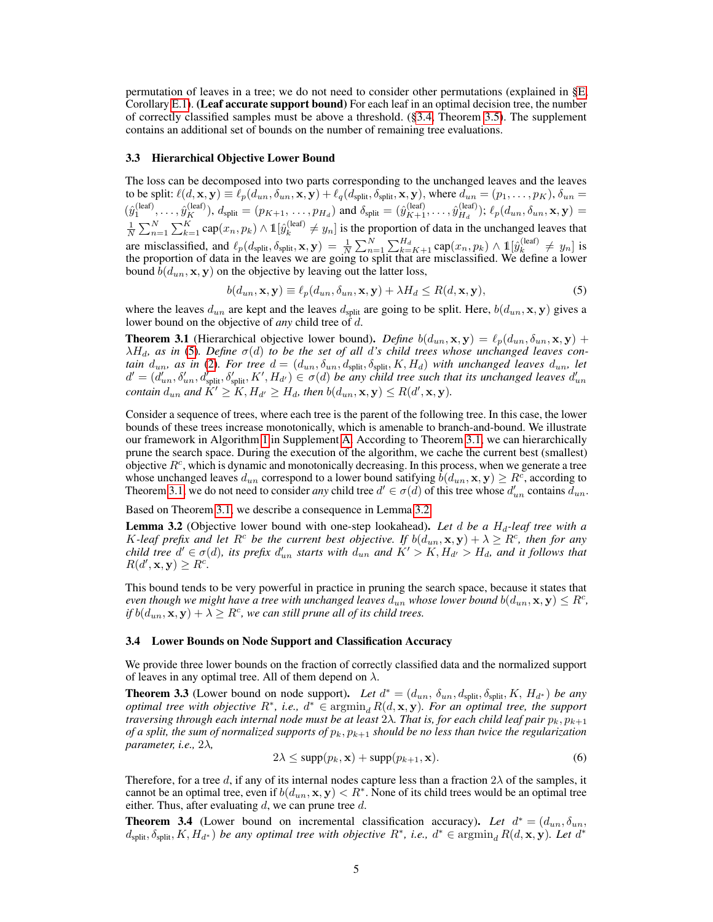permutation of leaves in a tree; we do not need to consider other permutations (explained in §E, Corollary E.1). (Leaf accurate support bound) For each leaf in an optimal decision tree, the number of correctly classified samples must be above a threshold. (§3.4, Theorem 3.5). The supplement contains an additional set of bounds on the number of remaining tree evaluations.

#### 3.3 Hierarchical Objective Lower Bound

The loss can be decomposed into two parts corresponding to the unchanged leaves and the leaves to be split:  $\ell(d, \mathbf{x}, \mathbf{y}) \equiv \ell_p(d_{un}, \delta_{un}, \mathbf{x}, \mathbf{y}) + \ell_q(d_{split}, \delta_{split}, \mathbf{x}, \mathbf{y})$ , where  $d_{un} = (p_1, \ldots, p_K)$ ,  $\delta_{un} =$  $(\hat{y}_1^{(leaf)},\ldots,\hat{y}_K^{(leaf)}), d_{split}=(p_{K+1},\ldots,p_{H_d})$  and  $\delta_{split}=(\hat{y}_{K+1}^{(leaf)},\ldots,\hat{y}_{H_d}^{(leaf)})$  $\mathcal{L}_{H_d}^{(\text{teat})}$ );  $\ell_p(d_{un}, \delta_{un}, \mathbf{x}, \mathbf{y}) =$  $\frac{1}{N}\sum_{n=1}^N\sum_{k=1}^K \mathrm{cap}(x_n, p_k) \wedge \mathbb{1}[\hat{y}_k^{(\mathrm{leaf})}]$  $\lambda_k^{(real)} \neq y_n$  is the proportion of data in the unchanged leaves that are misclassified, and  $\ell_p(d_{split}, \delta_{split}, \mathbf{x}, \mathbf{y}) = \frac{1}{N} \sum_{n=1}^N \sum_{k=K+1}^{H_d} \text{cap}(x_n, p_k) \wedge \mathbb{1}[\hat{y}_k^{(\text{leaf})}]$  $\begin{cases} \n\text{if } k \neq y_n \n\end{cases}$  is the proportion of data in the leaves we are going to split that are misclassified. We define a lower bound  $b(d_{un}, \mathbf{x}, \mathbf{y})$  on the objective by leaving out the latter loss,

$$
b(d_{un}, \mathbf{x}, \mathbf{y}) \equiv \ell_p(d_{un}, \delta_{un}, \mathbf{x}, \mathbf{y}) + \lambda H_d \le R(d, \mathbf{x}, \mathbf{y}),\tag{5}
$$

where the leaves  $d_{un}$  are kept and the leaves  $d_{split}$  are going to be split. Here,  $b(d_{un}, \mathbf{x}, \mathbf{y})$  gives a lower bound on the objective of *any* child tree of d.

**Theorem 3.1** (Hierarchical objective lower bound). *Define*  $b(d_{un}, \mathbf{x}, \mathbf{y}) = \ell_p(d_{un}, \delta_{un}, \mathbf{x}, \mathbf{y}) +$  $\lambda H_d$ , as in (5). Define  $\sigma(d)$  to be the set of all d's child trees whose unchanged leaves con*tain*  $d_{un}$ , as in (2). For tree  $d = (d_{un}, \delta_{un}, d_{split}, \delta_{split}, K, H_d)$  with unchanged leaves  $d_{un}$ , let  $d' = (d'_{un}, \delta'_{un}, d'_{split}, \delta'_{split}, K', H_{d'}) \in \sigma(d)$  be any child tree such that its unchanged leaves  $d'_{un}$ *contain*  $d_{un}$  and  $K' \geq K$ ,  $H_{d'} \geq H_d$ , then  $b(d_{un}, \mathbf{x}, \mathbf{y}) \leq R(d', \mathbf{x}, \mathbf{y})$ .

Consider a sequence of trees, where each tree is the parent of the following tree. In this case, the lower bounds of these trees increase monotonically, which is amenable to branch-and-bound. We illustrate our framework in Algorithm 1 in Supplement A. According to Theorem 3.1, we can hierarchically prune the search space. During the execution of the algorithm, we cache the current best (smallest) objective  $R^c$ , which is dynamic and monotonically decreasing. In this process, when we generate a tree whose unchanged leaves  $d_{un}$  correspond to a lower bound satifying  $\tilde{b}(d_{un}, \mathbf{x}, \mathbf{y}) \ge R^c$ , according to Theorem 3.1, we do not need to consider *any* child tree  $d' \in \sigma(d)$  of this tree whose  $d'_{un}$  contains  $\bar{d}_{un}$ .

Based on Theorem 3.1, we describe a consequence in Lemma 3.2.

**Lemma 3.2** (Objective lower bound with one-step lookahead). Let d be a  $H_d$ -leaf tree with a K-leaf prefix and let  $R^c$  be the current best objective. If  $b(d_{un}, \mathbf{x}, \mathbf{y}) + \lambda \geq R^c$ , then for any *child tree*  $d' \in \sigma(d)$ , its prefix  $d'_{un}$  starts with  $d_{un}$  and  $K' > K$ ,  $H_{d'} > H_d$ , and it follows that  $R(d', \mathbf{x}, \mathbf{y}) \geq R^c$ .

This bound tends to be very powerful in practice in pruning the search space, because it states that *even though we might have a tree with unchanged leaves*  $d_{un}$  *whose lower bound*  $b(d_{un}, \mathbf{x}, \mathbf{y}) \leq R^c$ *, if*  $b(d_{un}, \mathbf{x}, \mathbf{y}) + \lambda \geq R^c$ , we can still prune all of its child trees.

#### 3.4 Lower Bounds on Node Support and Classification Accuracy

We provide three lower bounds on the fraction of correctly classified data and the normalized support of leaves in any optimal tree. All of them depend on  $\lambda$ .

**Theorem 3.3** (Lower bound on node support). Let  $d^* = (d_{un}, \delta_{un}, d_{split}, \delta_{split}, K, H_{d^*})$  be any *optimal tree with objective*  $R^*$ , *i.e.*,  $d^* \in \text{argmin}_d R(d, \mathbf{x}, \mathbf{y})$ *. For an optimal tree, the support traversing through each internal node must be at least*  $2\lambda$ *. That is, for each child leaf pair*  $p_k, p_{k+1}$ *of a split, the sum of normalized supports of*  $p_k, p_{k+1}$  *should be no less than twice the regularization parameter, i.e.,* 2λ*,*

$$
2\lambda \le \text{supp}(p_k, \mathbf{x}) + \text{supp}(p_{k+1}, \mathbf{x}).\tag{6}
$$

Therefore, for a tree d, if any of its internal nodes capture less than a fraction  $2\lambda$  of the samples, it cannot be an optimal tree, even if  $b(d_{un}, \mathbf{x}, \mathbf{y}) < R^*$ . None of its child trees would be an optimal tree either. Thus, after evaluating  $d$ , we can prune tree  $d$ .

**Theorem 3.4** (Lower bound on incremental classification accuracy). Let  $d^* = (d_{un}, \delta_{un},$  $d_{split}$ ,  $\delta_{split}$ ,  $K$ ,  $H_{d^*}$ ) *be any optimal tree with objective*  $R^*$ , *i.e.*,  $d^* \in \text{argmin}_d R(d, \mathbf{x}, \mathbf{y})$ . Let  $d^*$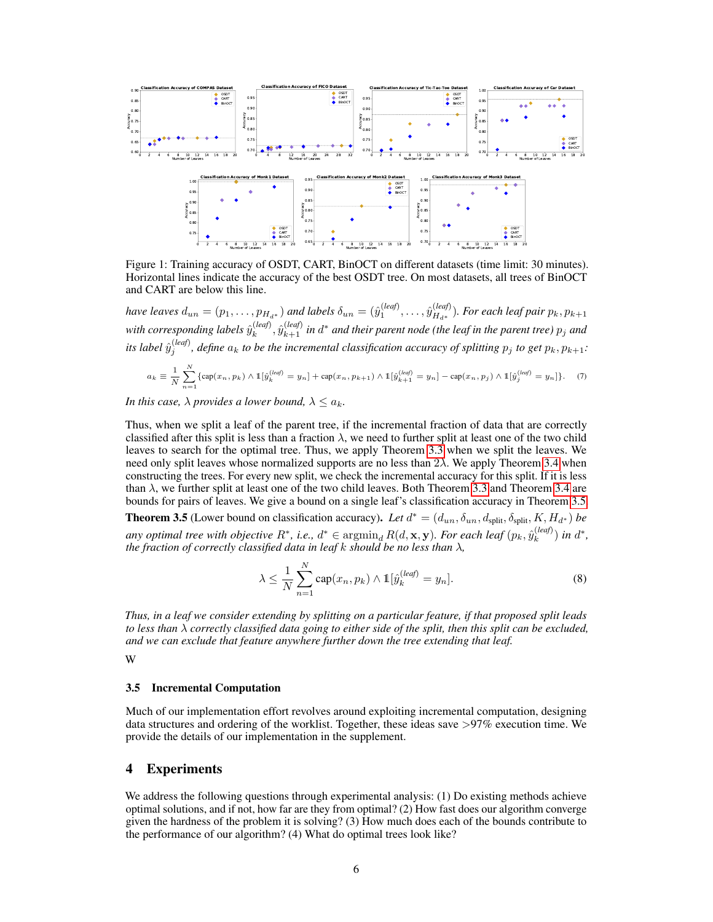

Figure 1: Training accuracy of OSDT, CART, BinOCT on different datasets (time limit: 30 minutes). Horizontal lines indicate the accuracy of the best OSDT tree. On most datasets, all trees of BinOCT and CART are below this line.

*have leaves*  $d_{un} = (p_1, \ldots, p_{H_{d^*}})$  *and labels*  $\delta_{un} = (\hat{y}_1^{(leaf)}, \ldots, \hat{y}_{H_{d^*}}^{(leaf)})$  $\binom{(\text{leq}y)}{H_{d^*}}$ . For each leaf pair  $p_k, p_{k+1}$ with corresponding labels  $\hat{y}_k^{(leaf)}$  $\hat{y}_{k}^{(leaf)}, \hat{y}_{k+1}^{(leaf)}$  in  $d^*$  and their parent node (the leaf in the parent tree)  $p_j$  and its label  $\hat{y}^{(leaf)}_j$ , define  $a_k$  to be the incremental classification accuracy of splitting  $p_j$  to get  $p_k, p_{k+1}$ :

$$
a_k \equiv \frac{1}{N} \sum_{n=1}^N \{ \text{cap}(x_n, p_k) \land \mathbb{1}[\hat{y}_k^{(leaf)} = y_n] + \text{cap}(x_n, p_{k+1}) \land \mathbb{1}[\hat{y}_{k+1}^{(leaf)} = y_n] - \text{cap}(x_n, p_j) \land \mathbb{1}[\hat{y}_j^{(leaf)} = y_n] \}. \tag{7}
$$

*In this case,*  $\lambda$  *provides a lower bound,*  $\lambda \leq a_k$ *.* 

Thus, when we split a leaf of the parent tree, if the incremental fraction of data that are correctly classified after this split is less than a fraction  $\lambda$ , we need to further split at least one of the two child leaves to search for the optimal tree. Thus, we apply Theorem 3.3 when we split the leaves. We need only split leaves whose normalized supports are no less than  $2\lambda$ . We apply Theorem 3.4 when constructing the trees. For every new split, we check the incremental accuracy for this split. If it is less than  $\lambda$ , we further split at least one of the two child leaves. Both Theorem 3.3 and Theorem 3.4 are bounds for pairs of leaves. We give a bound on a single leaf's classification accuracy in Theorem 3.5.

**Theorem 3.5** (Lower bound on classification accuracy). Let  $d^* = (d_{un}, \delta_{un}, d_{split}, \delta_{split}, K, H_{d^*})$  be any optimal tree with objective  $R^*$ , i.e.,  $d^* \in \operatorname{argmin}_d R(d,\mathbf{x},\mathbf{y})$ . For each leaf  $(p_k, \hat{y}_k^{(leaf)}$  $\binom{(leaf)}{k}$  *in*  $d^*$ , *the fraction of correctly classified data in leaf* k *should be no less than* λ*,*

$$
\lambda \le \frac{1}{N} \sum_{n=1}^{N} \text{cap}(x_n, p_k) \wedge \mathbb{1}[\hat{y}_k^{(leaf)} = y_n]. \tag{8}
$$

*Thus, in a leaf we consider extending by splitting on a particular feature, if that proposed split leads to less than* λ *correctly classified data going to either side of the split, then this split can be excluded, and we can exclude that feature anywhere further down the tree extending that leaf.*

W

#### 3.5 Incremental Computation

Much of our implementation effort revolves around exploiting incremental computation, designing data structures and ordering of the worklist. Together, these ideas save >97% execution time. We provide the details of our implementation in the supplement.

# 4 Experiments

We address the following questions through experimental analysis: (1) Do existing methods achieve optimal solutions, and if not, how far are they from optimal? (2) How fast does our algorithm converge given the hardness of the problem it is solving? (3) How much does each of the bounds contribute to the performance of our algorithm? (4) What do optimal trees look like?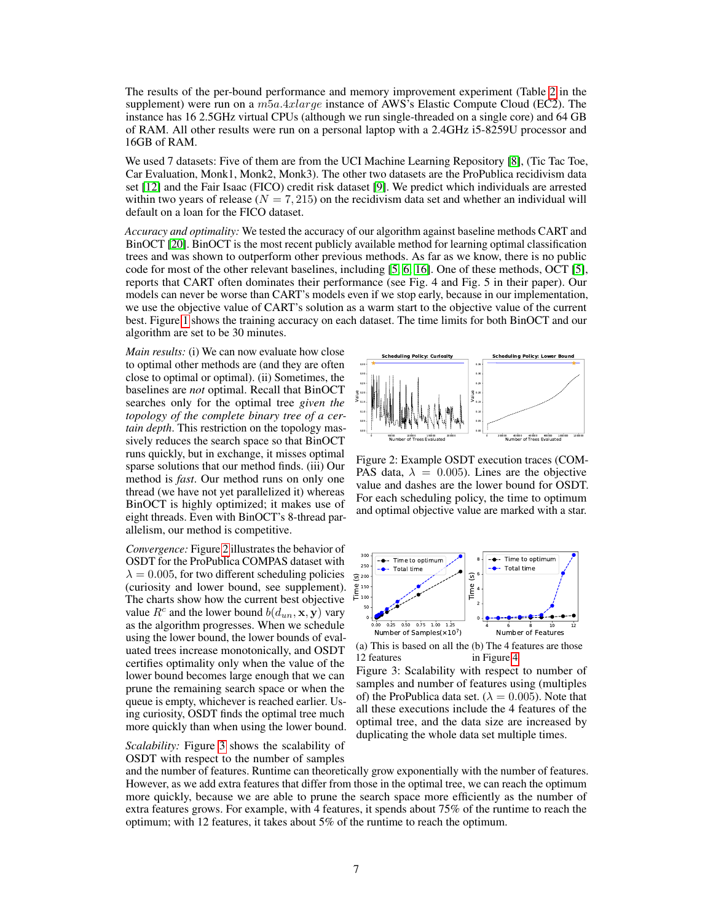The results of the per-bound performance and memory improvement experiment (Table 2 in the supplement) were run on a  $m5a.4xlarae$  instance of AWS's Elastic Compute Cloud (EC2). The instance has 16 2.5GHz virtual CPUs (although we run single-threaded on a single core) and 64 GB of RAM. All other results were run on a personal laptop with a 2.4GHz i5-8259U processor and 16GB of RAM.

We used 7 datasets: Five of them are from the UCI Machine Learning Repository [8], (Tic Tac Toe, Car Evaluation, Monk1, Monk2, Monk3). The other two datasets are the ProPublica recidivism data set [12] and the Fair Isaac (FICO) credit risk dataset [9]. We predict which individuals are arrested within two years of release ( $N = 7,215$ ) on the recidivism data set and whether an individual will default on a loan for the FICO dataset.

*Accuracy and optimality:* We tested the accuracy of our algorithm against baseline methods CART and BinOCT [20]. BinOCT is the most recent publicly available method for learning optimal classification trees and was shown to outperform other previous methods. As far as we know, there is no public code for most of the other relevant baselines, including [5, 6, 16]. One of these methods, OCT [5], reports that CART often dominates their performance (see Fig. 4 and Fig. 5 in their paper). Our models can never be worse than CART's models even if we stop early, because in our implementation, we use the objective value of CART's solution as a warm start to the objective value of the current best. Figure 1 shows the training accuracy on each dataset. The time limits for both BinOCT and our algorithm are set to be 30 minutes.

*Main results:* (i) We can now evaluate how close to optimal other methods are (and they are often close to optimal or optimal). (ii) Sometimes, the baselines are *not* optimal. Recall that BinOCT searches only for the optimal tree *given the topology of the complete binary tree of a certain depth*. This restriction on the topology massively reduces the search space so that BinOCT runs quickly, but in exchange, it misses optimal sparse solutions that our method finds. (iii) Our method is *fast*. Our method runs on only one thread (we have not yet parallelized it) whereas BinOCT is highly optimized; it makes use of eight threads. Even with BinOCT's 8-thread parallelism, our method is competitive.

*Convergence:* Figure 2 illustrates the behavior of OSDT for the ProPublica COMPAS dataset with  $\lambda = 0.005$ , for two different scheduling policies (curiosity and lower bound, see supplement). The charts show how the current best objective value  $R^c$  and the lower bound  $b(d_{un}, \mathbf{x}, \mathbf{y})$  vary as the algorithm progresses. When we schedule using the lower bound, the lower bounds of evaluated trees increase monotonically, and OSDT certifies optimality only when the value of the lower bound becomes large enough that we can prune the remaining search space or when the queue is empty, whichever is reached earlier. Using curiosity, OSDT finds the optimal tree much more quickly than when using the lower bound.

*Scalability:* Figure 3 shows the scalability of OSDT with respect to the number of samples



Figure 2: Example OSDT execution traces (COM-PAS data,  $\lambda = 0.005$ ). Lines are the objective value and dashes are the lower bound for OSDT. For each scheduling policy, the time to optimum and optimal objective value are marked with a star.



(a) This is based on all the (b) The 4 features are those 12 features in Figure 4

Figure 3: Scalability with respect to number of samples and number of features using (multiples of) the ProPublica data set. ( $\lambda = 0.005$ ). Note that all these executions include the 4 features of the optimal tree, and the data size are increased by duplicating the whole data set multiple times.

and the number of features. Runtime can theoretically grow exponentially with the number of features. However, as we add extra features that differ from those in the optimal tree, we can reach the optimum more quickly, because we are able to prune the search space more efficiently as the number of extra features grows. For example, with 4 features, it spends about 75% of the runtime to reach the optimum; with 12 features, it takes about 5% of the runtime to reach the optimum.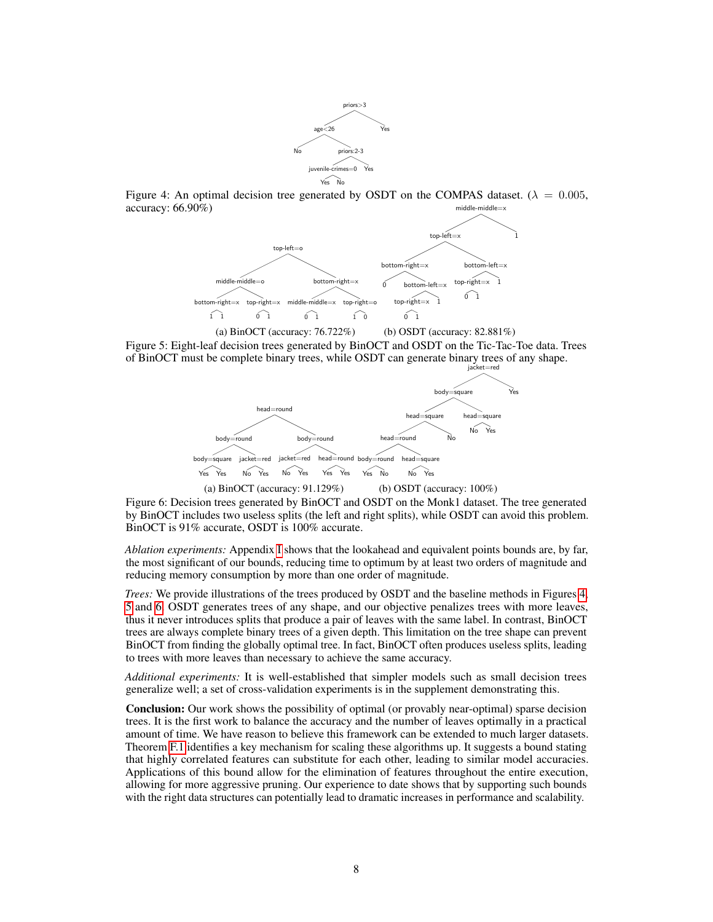

Figure 4: An optimal decision tree generated by OSDT on the COMPAS dataset. ( $\lambda = 0.005$ , accuracy: 66.90%) middle-middle



(a) BinOCT (accuracy: 76.722%) (b) OSDT (accuracy: 82.881%)

Figure 5: Eight-leaf decision trees generated by BinOCT and OSDT on the Tic-Tac-Toe data. Trees of BinOCT must be complete binary trees, while OSDT can generate binary trees of any shape.



Figure 6: Decision trees generated by BinOCT and OSDT on the Monk1 dataset. The tree generated by BinOCT includes two useless splits (the left and right splits), while OSDT can avoid this problem. BinOCT is 91% accurate, OSDT is 100% accurate.

*Ablation experiments:* Appendix I shows that the lookahead and equivalent points bounds are, by far, the most significant of our bounds, reducing time to optimum by at least two orders of magnitude and reducing memory consumption by more than one order of magnitude.

*Trees:* We provide illustrations of the trees produced by OSDT and the baseline methods in Figures 4, 5 and 6. OSDT generates trees of any shape, and our objective penalizes trees with more leaves, thus it never introduces splits that produce a pair of leaves with the same label. In contrast, BinOCT trees are always complete binary trees of a given depth. This limitation on the tree shape can prevent BinOCT from finding the globally optimal tree. In fact, BinOCT often produces useless splits, leading to trees with more leaves than necessary to achieve the same accuracy.

*Additional experiments:* It is well-established that simpler models such as small decision trees generalize well; a set of cross-validation experiments is in the supplement demonstrating this.

Conclusion: Our work shows the possibility of optimal (or provably near-optimal) sparse decision trees. It is the first work to balance the accuracy and the number of leaves optimally in a practical amount of time. We have reason to believe this framework can be extended to much larger datasets. Theorem F.1 identifies a key mechanism for scaling these algorithms up. It suggests a bound stating that highly correlated features can substitute for each other, leading to similar model accuracies. Applications of this bound allow for the elimination of features throughout the entire execution, allowing for more aggressive pruning. Our experience to date shows that by supporting such bounds with the right data structures can potentially lead to dramatic increases in performance and scalability.